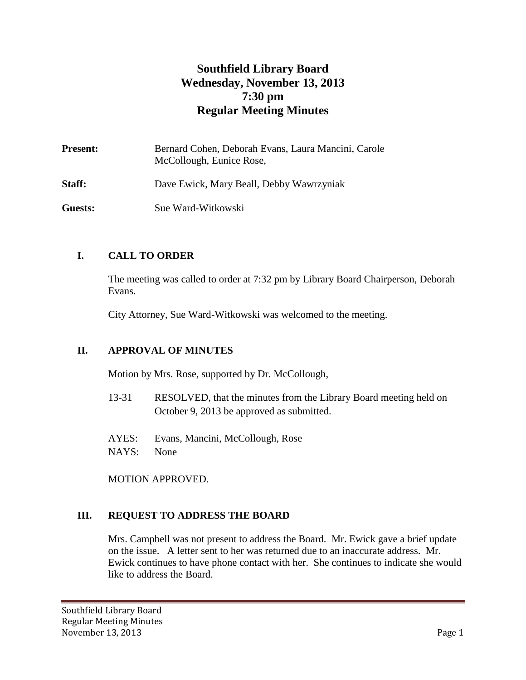# **Southfield Library Board Wednesday, November 13, 2013 7:30 pm Regular Meeting Minutes**

| <b>Present:</b> | Bernard Cohen, Deborah Evans, Laura Mancini, Carole<br>McCollough, Eunice Rose, |
|-----------------|---------------------------------------------------------------------------------|
| Staff:          | Dave Ewick, Mary Beall, Debby Wawrzyniak                                        |
| Guests:         | Sue Ward-Witkowski                                                              |

# **I. CALL TO ORDER**

The meeting was called to order at 7:32 pm by Library Board Chairperson, Deborah Evans.

City Attorney, Sue Ward-Witkowski was welcomed to the meeting.

#### **II. APPROVAL OF MINUTES**

Motion by Mrs. Rose, supported by Dr. McCollough,

- 13-31 RESOLVED, that the minutes from the Library Board meeting held on October 9, 2013 be approved as submitted.
- AYES: Evans, Mancini, McCollough, Rose
- NAYS: None

MOTION APPROVED.

#### **III. REQUEST TO ADDRESS THE BOARD**

Mrs. Campbell was not present to address the Board. Mr. Ewick gave a brief update on the issue. A letter sent to her was returned due to an inaccurate address. Mr. Ewick continues to have phone contact with her. She continues to indicate she would like to address the Board.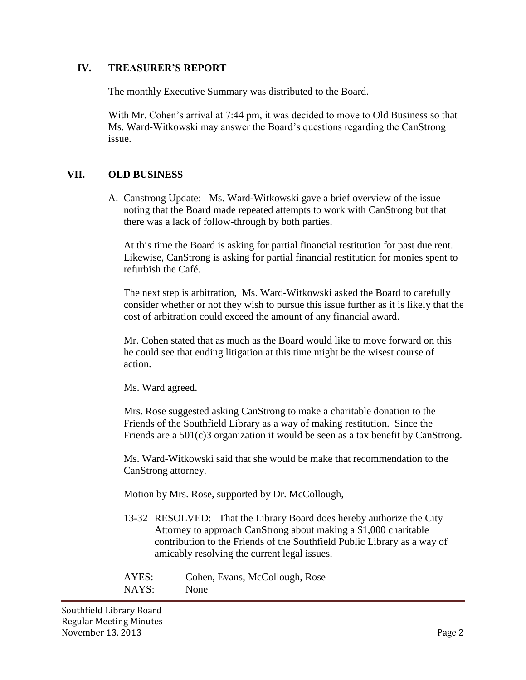#### **IV. TREASURER'S REPORT**

The monthly Executive Summary was distributed to the Board.

With Mr. Cohen's arrival at 7:44 pm, it was decided to move to Old Business so that Ms. Ward-Witkowski may answer the Board's questions regarding the CanStrong issue.

#### **VII. OLD BUSINESS**

A. Canstrong Update: Ms. Ward-Witkowski gave a brief overview of the issue noting that the Board made repeated attempts to work with CanStrong but that there was a lack of follow-through by both parties.

At this time the Board is asking for partial financial restitution for past due rent. Likewise, CanStrong is asking for partial financial restitution for monies spent to refurbish the Café.

The next step is arbitration, Ms. Ward-Witkowski asked the Board to carefully consider whether or not they wish to pursue this issue further as it is likely that the cost of arbitration could exceed the amount of any financial award.

Mr. Cohen stated that as much as the Board would like to move forward on this he could see that ending litigation at this time might be the wisest course of action.

Ms. Ward agreed.

Mrs. Rose suggested asking CanStrong to make a charitable donation to the Friends of the Southfield Library as a way of making restitution. Since the Friends are a 501(c)3 organization it would be seen as a tax benefit by CanStrong.

Ms. Ward-Witkowski said that she would be make that recommendation to the CanStrong attorney.

Motion by Mrs. Rose, supported by Dr. McCollough,

13-32 RESOLVED: That the Library Board does hereby authorize the City Attorney to approach CanStrong about making a \$1,000 charitable contribution to the Friends of the Southfield Public Library as a way of amicably resolving the current legal issues.

| AYES: | Cohen, Evans, McCollough, Rose |
|-------|--------------------------------|
| NAYS: | None                           |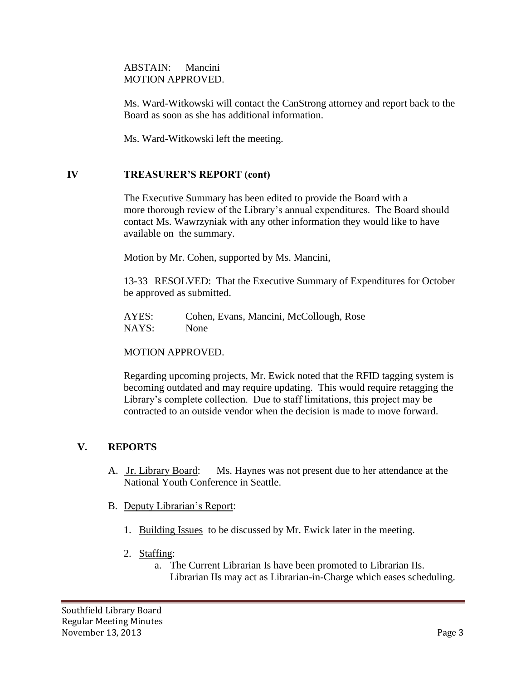ABSTAIN: Mancini MOTION APPROVED.

Ms. Ward-Witkowski will contact the CanStrong attorney and report back to the Board as soon as she has additional information.

Ms. Ward-Witkowski left the meeting.

#### **IV TREASURER'S REPORT (cont)**

The Executive Summary has been edited to provide the Board with a more thorough review of the Library's annual expenditures. The Board should contact Ms. Wawrzyniak with any other information they would like to have available on the summary.

Motion by Mr. Cohen, supported by Ms. Mancini,

13-33 RESOLVED: That the Executive Summary of Expenditures for October be approved as submitted.

AYES: Cohen, Evans, Mancini, McCollough, Rose NAYS: None

MOTION APPROVED.

Regarding upcoming projects, Mr. Ewick noted that the RFID tagging system is becoming outdated and may require updating. This would require retagging the Library's complete collection. Due to staff limitations, this project may be contracted to an outside vendor when the decision is made to move forward.

#### **V. REPORTS**

- A. Jr. Library Board: Ms. Haynes was not present due to her attendance at the National Youth Conference in Seattle.
- B. Deputy Librarian's Report:
	- 1. Building Issues to be discussed by Mr. Ewick later in the meeting.
	- 2. Staffing:
		- a. The Current Librarian Is have been promoted to Librarian IIs. Librarian IIs may act as Librarian-in-Charge which eases scheduling.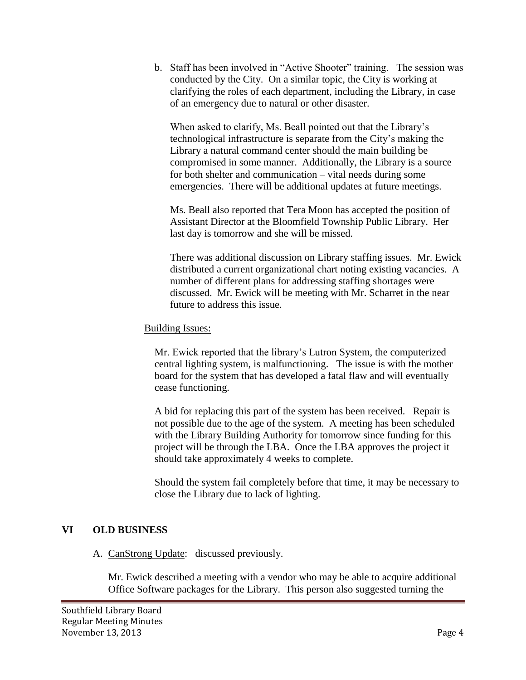b. Staff has been involved in "Active Shooter" training. The session was conducted by the City. On a similar topic, the City is working at clarifying the roles of each department, including the Library, in case of an emergency due to natural or other disaster.

When asked to clarify, Ms. Beall pointed out that the Library's technological infrastructure is separate from the City's making the Library a natural command center should the main building be compromised in some manner. Additionally, the Library is a source for both shelter and communication – vital needs during some emergencies. There will be additional updates at future meetings.

Ms. Beall also reported that Tera Moon has accepted the position of Assistant Director at the Bloomfield Township Public Library. Her last day is tomorrow and she will be missed.

There was additional discussion on Library staffing issues. Mr. Ewick distributed a current organizational chart noting existing vacancies. A number of different plans for addressing staffing shortages were discussed. Mr. Ewick will be meeting with Mr. Scharret in the near future to address this issue.

# Building Issues:

Mr. Ewick reported that the library's Lutron System, the computerized central lighting system, is malfunctioning. The issue is with the mother board for the system that has developed a fatal flaw and will eventually cease functioning.

A bid for replacing this part of the system has been received. Repair is not possible due to the age of the system. A meeting has been scheduled with the Library Building Authority for tomorrow since funding for this project will be through the LBA. Once the LBA approves the project it should take approximately 4 weeks to complete.

Should the system fail completely before that time, it may be necessary to close the Library due to lack of lighting.

# **VI OLD BUSINESS**

# A. CanStrong Update: discussed previously.

Mr. Ewick described a meeting with a vendor who may be able to acquire additional Office Software packages for the Library. This person also suggested turning the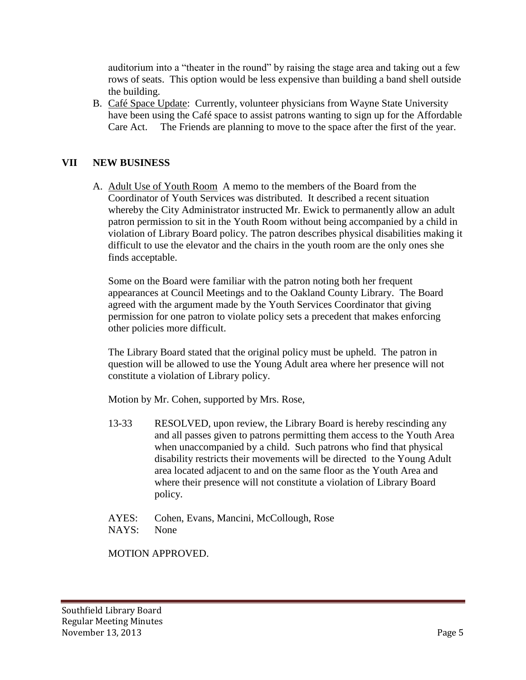auditorium into a "theater in the round" by raising the stage area and taking out a few rows of seats. This option would be less expensive than building a band shell outside the building.

B. Café Space Update: Currently, volunteer physicians from Wayne State University have been using the Café space to assist patrons wanting to sign up for the Affordable Care Act. The Friends are planning to move to the space after the first of the year.

#### **VII NEW BUSINESS**

A. Adult Use of Youth Room A memo to the members of the Board from the Coordinator of Youth Services was distributed. It described a recent situation whereby the City Administrator instructed Mr. Ewick to permanently allow an adult patron permission to sit in the Youth Room without being accompanied by a child in violation of Library Board policy. The patron describes physical disabilities making it difficult to use the elevator and the chairs in the youth room are the only ones she finds acceptable.

Some on the Board were familiar with the patron noting both her frequent appearances at Council Meetings and to the Oakland County Library. The Board agreed with the argument made by the Youth Services Coordinator that giving permission for one patron to violate policy sets a precedent that makes enforcing other policies more difficult.

The Library Board stated that the original policy must be upheld. The patron in question will be allowed to use the Young Adult area where her presence will not constitute a violation of Library policy.

Motion by Mr. Cohen, supported by Mrs. Rose,

- 13-33 RESOLVED, upon review, the Library Board is hereby rescinding any and all passes given to patrons permitting them access to the Youth Area when unaccompanied by a child. Such patrons who find that physical disability restricts their movements will be directed to the Young Adult area located adjacent to and on the same floor as the Youth Area and where their presence will not constitute a violation of Library Board policy.
- AYES: Cohen, Evans, Mancini, McCollough, Rose NAYS: None

MOTION APPROVED.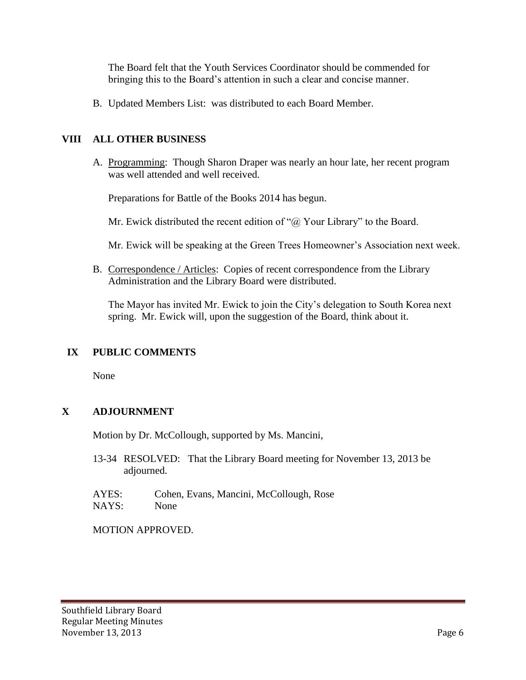The Board felt that the Youth Services Coordinator should be commended for bringing this to the Board's attention in such a clear and concise manner.

B. Updated Members List: was distributed to each Board Member.

### **VIII ALL OTHER BUSINESS**

A. Programming: Though Sharon Draper was nearly an hour late, her recent program was well attended and well received.

Preparations for Battle of the Books 2014 has begun.

Mr. Ewick distributed the recent edition of " $@$  Your Library" to the Board.

Mr. Ewick will be speaking at the Green Trees Homeowner's Association next week.

B. Correspondence / Articles: Copies of recent correspondence from the Library Administration and the Library Board were distributed.

The Mayor has invited Mr. Ewick to join the City's delegation to South Korea next spring. Mr. Ewick will, upon the suggestion of the Board, think about it.

# **IX PUBLIC COMMENTS**

None

# **X ADJOURNMENT**

Motion by Dr. McCollough, supported by Ms. Mancini,

13-34 RESOLVED: That the Library Board meeting for November 13, 2013 be adjourned.

AYES: Cohen, Evans, Mancini, McCollough, Rose NAYS: None

MOTION APPROVED.